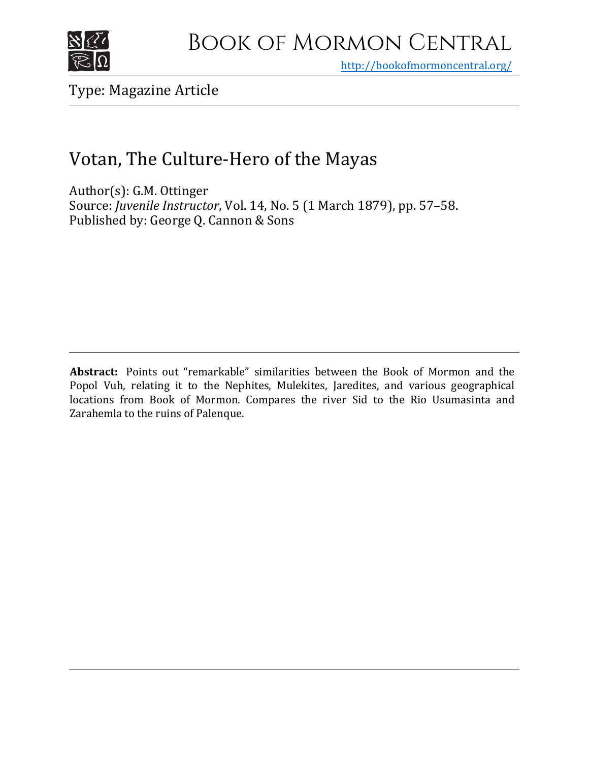

<http://bookofmormoncentral.org/>

Type: Magazine Article

## Votan, The Culture-Hero of the Mayas

Author(s): G.M. Ottinger Source: *Juvenile Instructor*, Vol. 14, No. 5 (1 March 1879), pp. 57–58. Published by: George Q. Cannon & Sons

**Abstract:** Points out "remarkable" similarities between the Book of Mormon and the Popol Vuh, relating it to the Nephites, Mulekites, Jaredites, and various geographical locations from Book of Mormon. Compares the river Sid to the Rio Usumasinta and Zarahemla to the ruins of Palenque.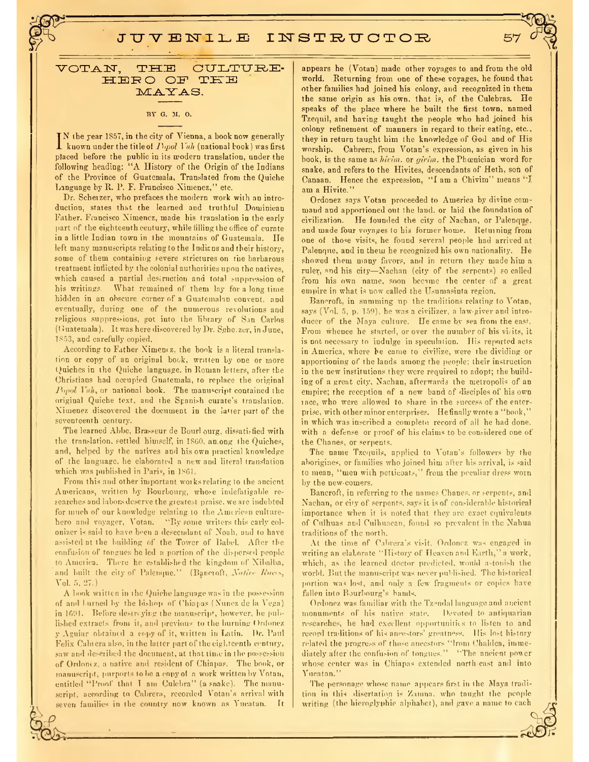JUV ENILE INSTRUCTOR

votan, the culture-HERO OF TKE MAYAS.

## **BY G. M. 0.**

 $\prod_{k}$  is the year 1857, in the city of Vienna, a book now generally<br>known under the title of  $Pupol$  Vuh (national book) was first<br>placed hefore the public in its modern translation, under the known under the titleof *Pwpol Vuh* (national book) was first placed before the public in its modern translation, under the following heading: "A History of the Origin of the Indians of the Province of Guatemala, Translated from the Quiche Language by R. P. F. Francisco Ximenez," etc.

Dr. Scherzer, who prefaces the modern work with an introduction, states that the learned and truthful Dominican Father. Francisco Nimencz, made his translation in the early part of the eighteenth century, while filling the office of curate in a little Indian town in the mountains of Guatemala. He left many manuscripts relating to the Indians and their history, some of them containing severe strictures on the barbarous treatment inflicted by the colonial authorities upon the natives, which caused a partial destruction and total suppression of his writings. What remained of them lay for a long time hidden in an obscure corner of a Guatemalan convent, and eventually, during one of the numerous revolutions and religious suppressions, got into the library of Sin Carlos (Guatemala). It was here discovered by Dr. Sche. zer, in June, 1853, and carefully copied.

According to Father Nimen(z, the book is a literal translation or copy of an original book, written by one or more Quiches in the Quiche language, in Roman letters, after the Christians had occupied Guatemala, to replace the original Popol Unh, or national book. The manuscript contained the original Quiche text, and the Spanish curate's translation. Nimencz discovered the document in the latter part of the seventeenth century.

The learned Abbe, Brasseur de Bourl ourg, dissatisfied with the translation, settled himself, in I860, among the Quiches, and, helped by the natives and his own practical knowledge of the language, he elaborated a new and literal translation which was published in Paris, in 1861.

From this and other important worksrelating to the ancient Americans, written by Bourbourg, whose indefatigable researches and labors deserve the greatest praise, we are indebted for much of our knowledge relating to the American culturehero and voyager, Votan. "By some writers this early colonizer is said to have been a descendant of Noah, aud to have assisted at the building of the Tower of Babel. After the confusion of tongues he led a portion of the dispersed people toAmeiiea. There he established the kingdom of Xibalba, and built the city of Palenque." (Bancroft, Native Races, Vol. 5, 27.)

A book written in the Quiche language was in the possession of and hurned by the bishop of Chiapas (Nunez de la Vega) in 1691. Before destreying the manuscript, however, he published extracts from it, and previous to the burning Ordonez y Aguiar obtained a copy of it, written in Latin. Dr. Paul Felix Cabt era also, in the latter part of the eighteenth century, saw and described the document, at that time in the possession of Ordoniz, a native and resident of Chiapas. The book, or manuscript purports to be a copy of a work written by Votan, entitled "Proof that <sup>I</sup> am Culebra" (a snake). The manuscript, according to Cabrera, recorded Votan's arrival with seven families in the country now known as Yucatan. It

appears he (Votan) made other voyages to and from the old world. Returning from one of these voyages, he found that other families had joined his colony, and recognized in them the same origin as his own. that is, of the Culebras. He speaks of the place where he built the first town, named Tzequil, and having taught the people who had joined his colony refinement of manners in regard to their eating, etc.., they in return taught him the knowledge of God and of His worship. Cabrera, from Votan's expression, as given in his hook, is the same as *hitim*. or *girm.* the Phoenician word for snake, and refers to the Hivites, descendants of Heth, son of Canaan. Hence the expression, "I am <sup>a</sup> Chivim" means "I am a Hivite."

Ordonez says Votan proceeded to America by divine command and apportioned out the land, or laid the foundation of civilization. He founded the city of Nachan, or Palenque, and made four voyages to his former home. Returning from one of those visits, he found several people had arrived at Palenque, and in them he recognized his own nationality. He showed them many favors, and in return they made him a ruler, »nd his city—Nachan (city of the serpents) so called from his own name, soon became the center of a great empire in what is uow called the Usumasinta region.

Bancroft, in summing up the traditions relating to Votan, says (Vol. 5, p. 159), he was a civilizer, a law-giver and introducer of the Maya culture. He came by sea from the east. From whence he started, or over the number of his visits, it is not necessary to indulge in speculation. His reported acts in America, where he came to civilize, were the dividing or apportioning of the lands among the people; their instruction in the new institutions they were required to adopt; the building of a great city, Nachan, afterwards the metropolis of an empire; the reception of a new band of disciples of his own lace, who were allowed to share in the success of the enterprise, with other minor enterprises. Hefinally wrote <sup>a</sup> "book," in which was inscribed a complete record of all he had done, with a defense or proof of his claims to be considered one of the Chanes, or serpents.

The name Tzcquils, applied tn Votan's followers by the aborigines, or families who joined him after his arrival, is said to mean, "men with petticoats," from the peculiar dress worn by the new-comers.

Bancroft, in referring to the names Chanes. or serpents, and Nachan, or city of serpents, says it is of considerable historical importance when it is noted that they arc exact equivalents of Culhuas and Culhnacan, found so prevalent in the Nahua traditions of the north.

At the time of Cabrera's visit. Ordonez was engaged in writing an elaborate "History of Heaven and Earth," a work, which, as the learned doctor predicted, would a-tonish the world. But the manuscript was never published. The historical portion was lost, and only- a few fragments or copies have fallen into Bourbourg's hands.

Ordonez was familiar with the Tz.mdnl language and ancient monuments of his native state. Devoted to antiquarian researches, he had excellent opportunities to listen to and record traditions of his ancestors' greatness. His lost history related the progress of those ancestors "Irom Chaldea, immediately after the confusion of tongues. " "The ancient power whose center was in Chiapas extended north east and into Yucatan."

The personage whose name appears first in the Maya tradition in this disertation is Zamna. who taught the peoplewriting (the hieroglyphic alphabet), and gave a name to each